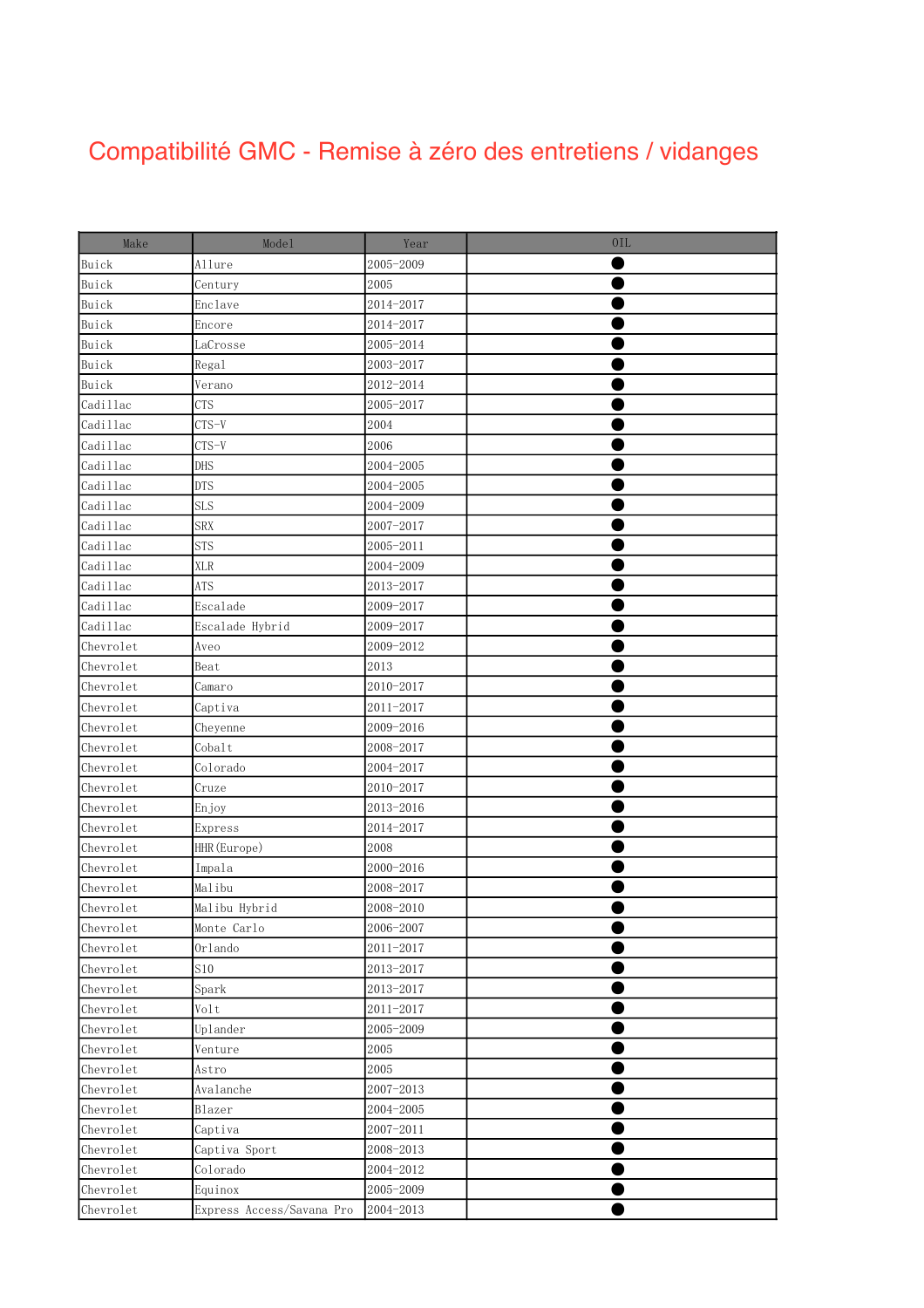## $\sim$ Compatibilité GMC - Remise à zéro des entretiens / vidanges

| Make      | Mode1                     | Year      | 0IL |
|-----------|---------------------------|-----------|-----|
| Buick     | Allure                    | 2005-2009 |     |
| Buick     | Century                   | 2005      |     |
| Buick     | Enclave                   | 2014-2017 |     |
| Buick     | Encore                    | 2014-2017 |     |
| Buick     | LaCrosse                  | 2005-2014 |     |
| Buick     | Regal                     | 2003-2017 |     |
| Buick     | Verano                    | 2012-2014 |     |
| Cadillac  | <b>CTS</b>                | 2005-2017 |     |
| Cadillac  | $CTS-V$                   | 2004      |     |
| Cadillac  | $CTS-V$                   | 2006      |     |
| Cadillac  | DHS                       | 2004-2005 |     |
| Cadillac  | <b>DTS</b>                | 2004-2005 |     |
| Cadillac  | <b>SLS</b>                | 2004-2009 |     |
| Cadillac  | <b>SRX</b>                | 2007-2017 |     |
| Cadillac  | <b>STS</b>                | 2005-2011 |     |
| Cadillac  | <b>XLR</b>                | 2004-2009 |     |
| Cadillac  | ATS                       | 2013-2017 |     |
| Cadillac  | Escalade                  | 2009-2017 |     |
| Cadillac  | Escalade Hybrid           | 2009-2017 |     |
| Chevrolet | Aveo                      | 2009-2012 |     |
| Chevrolet | Beat                      | 2013      |     |
| Chevrolet | Camaro                    | 2010-2017 |     |
| Chevrolet | Captiva                   | 2011-2017 |     |
| Chevrolet | Cheyenne                  | 2009-2016 |     |
| Chevrolet | Cobalt                    | 2008-2017 |     |
| Chevrolet | Colorado                  | 2004-2017 |     |
| Chevrolet | Cruze                     | 2010-2017 |     |
| Chevrolet | Enjoy                     | 2013-2016 |     |
| Chevrolet | Express                   | 2014-2017 |     |
| Chevrolet | HHR (Europe)              | 2008      |     |
| Chevrolet | Impala                    | 2000-2016 |     |
| Chevrolet | Malibu                    | 2008-2017 |     |
| Chevrolet | Malibu Hybrid             | 2008-2010 |     |
| Chevrolet | Monte Carlo               | 2006-2007 |     |
| Chevrolet | $0r$ lando                | 2011-2017 |     |
| Chevrolet | S10                       | 2013-2017 |     |
| Chevrolet | Spark                     | 2013-2017 |     |
| Chevrolet | Volt                      | 2011-2017 |     |
| Chevrolet | Uplander                  | 2005-2009 |     |
| Chevrolet | Venture                   | 2005      |     |
| Chevrolet | Astro                     | 2005      |     |
| Chevrolet | Avalanche                 | 2007-2013 |     |
| Chevrolet | Blazer                    | 2004-2005 |     |
| Chevrolet | Captiva                   | 2007-2011 |     |
| Chevrolet | Captiva Sport             | 2008-2013 |     |
| Chevrolet | Colorado                  | 2004-2012 |     |
| Chevrolet | Equinox                   | 2005-2009 |     |
| Chevrolet | Express Access/Savana Pro | 2004-2013 |     |